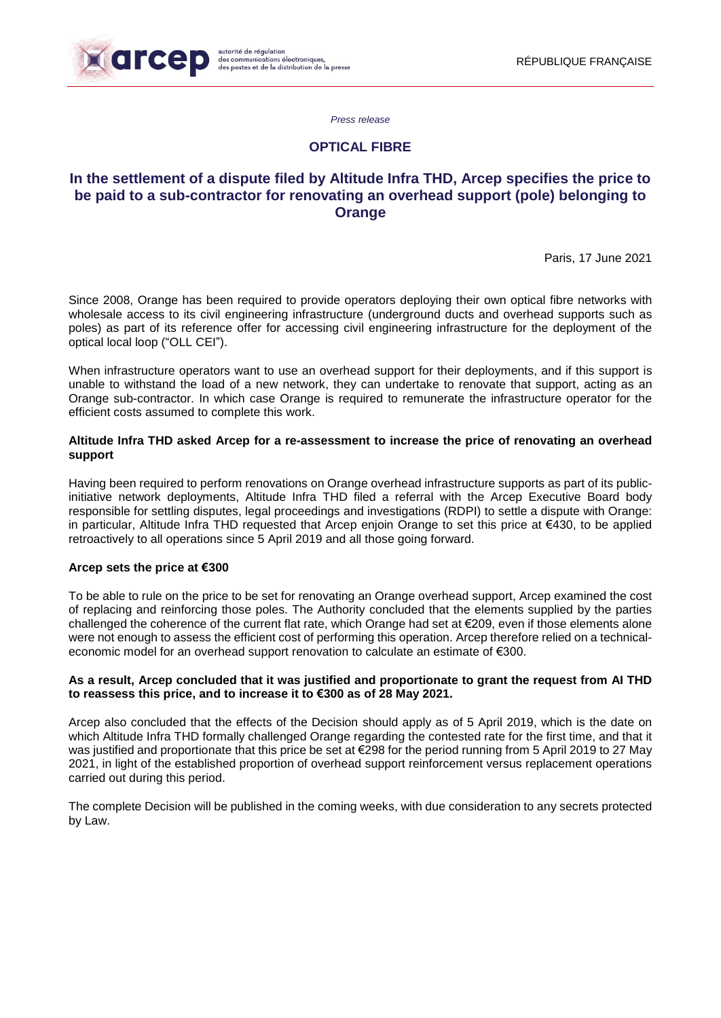

*Press release* 

# **OPTICAL FIBRE**

# **In the settlement of a dispute filed by Altitude Infra THD, Arcep specifies the price to be paid to a sub-contractor for renovating an overhead support (pole) belonging to Orange**

Paris, 17 June 2021

Since 2008, Orange has been required to provide operators deploying their own optical fibre networks with wholesale access to its civil engineering infrastructure (underground ducts and overhead supports such as poles) as part of its reference offer for accessing civil engineering infrastructure for the deployment of the optical local loop ("OLL CEI").

When infrastructure operators want to use an overhead support for their deployments, and if this support is unable to withstand the load of a new network, they can undertake to renovate that support, acting as an Orange sub-contractor. In which case Orange is required to remunerate the infrastructure operator for the efficient costs assumed to complete this work.

## **Altitude Infra THD asked Arcep for a re-assessment to increase the price of renovating an overhead support**

Having been required to perform renovations on Orange overhead infrastructure supports as part of its publicinitiative network deployments, Altitude Infra THD filed a referral with the Arcep Executive Board body responsible for settling disputes, legal proceedings and investigations (RDPI) to settle a dispute with Orange: in particular, Altitude Infra THD requested that Arcep enjoin Orange to set this price at €430, to be applied retroactively to all operations since 5 April 2019 and all those going forward.

### **Arcep sets the price at €300**

To be able to rule on the price to be set for renovating an Orange overhead support, Arcep examined the cost of replacing and reinforcing those poles. The Authority concluded that the elements supplied by the parties challenged the coherence of the current flat rate, which Orange had set at €209, even if those elements alone were not enough to assess the efficient cost of performing this operation. Arcep therefore relied on a technicaleconomic model for an overhead support renovation to calculate an estimate of €300.

### As a result, Arcep concluded that it was justified and proportionate to grant the request from AI THD **to reassess this price, and to increase it to €300 as of 28 May 2021.**

Arcep also concluded that the effects of the Decision should apply as of 5 April 2019, which is the date on which Altitude Infra THD formally challenged Orange regarding the contested rate for the first time, and that it was justified and proportionate that this price be set at €298 for the period running from 5 April 2019 to 27 May 2021, in light of the established proportion of overhead support reinforcement versus replacement operations carried out during this period.

The complete Decision will be published in the coming weeks, with due consideration to any secrets protected by Law.